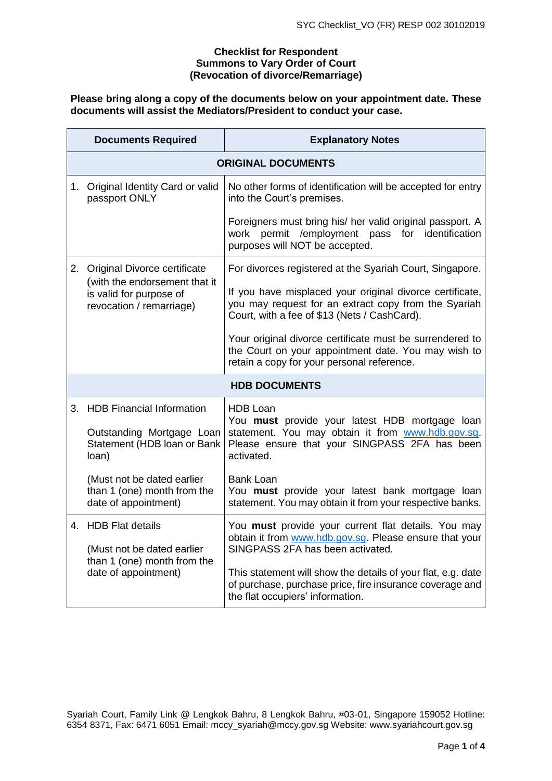### **Checklist for Respondent Summons to Vary Order of Court (Revocation of divorce/Remarriage)**

# **Please bring along a copy of the documents below on your appointment date. These documents will assist the Mediators/President to conduct your case.**

|                      | <b>Documents Required</b>                                                                                            | <b>Explanatory Notes</b>                                                                                                                                                              |  |  |  |
|----------------------|----------------------------------------------------------------------------------------------------------------------|---------------------------------------------------------------------------------------------------------------------------------------------------------------------------------------|--|--|--|
|                      | <b>ORIGINAL DOCUMENTS</b>                                                                                            |                                                                                                                                                                                       |  |  |  |
|                      | 1. Original Identity Card or valid<br>passport ONLY                                                                  | No other forms of identification will be accepted for entry<br>into the Court's premises.                                                                                             |  |  |  |
|                      |                                                                                                                      | Foreigners must bring his/ her valid original passport. A<br>permit /employment<br>for<br>identification<br>pass<br>work<br>purposes will NOT be accepted.                            |  |  |  |
| 2.                   | Original Divorce certificate<br>(with the endorsement that it<br>is valid for purpose of<br>revocation / remarriage) | For divorces registered at the Syariah Court, Singapore.                                                                                                                              |  |  |  |
|                      |                                                                                                                      | If you have misplaced your original divorce certificate,<br>you may request for an extract copy from the Syariah<br>Court, with a fee of \$13 (Nets / CashCard).                      |  |  |  |
|                      |                                                                                                                      | Your original divorce certificate must be surrendered to<br>the Court on your appointment date. You may wish to<br>retain a copy for your personal reference.                         |  |  |  |
| <b>HDB DOCUMENTS</b> |                                                                                                                      |                                                                                                                                                                                       |  |  |  |
|                      | 3. HDB Financial Information<br>Outstanding Mortgage Loan<br>Statement (HDB loan or Bank<br>loan)                    | <b>HDB Loan</b><br>You must provide your latest HDB mortgage loan<br>statement. You may obtain it from www.hdb.gov.sg.<br>Please ensure that your SINGPASS 2FA has been<br>activated. |  |  |  |
|                      | (Must not be dated earlier<br>than 1 (one) month from the<br>date of appointment)                                    | <b>Bank Loan</b><br>You must provide your latest bank mortgage loan<br>statement. You may obtain it from your respective banks.                                                       |  |  |  |
|                      | 4. HDB Flat details<br>(Must not be dated earlier<br>than 1 (one) month from the<br>date of appointment)             | You must provide your current flat details. You may<br>obtain it from www.hdb.gov.sg. Please ensure that your<br>SINGPASS 2FA has been activated.                                     |  |  |  |
|                      |                                                                                                                      | This statement will show the details of your flat, e.g. date<br>of purchase, purchase price, fire insurance coverage and<br>the flat occupiers' information.                          |  |  |  |

Syariah Court, Family Link @ Lengkok Bahru, 8 Lengkok Bahru, #03-01, Singapore 159052 Hotline: 6354 8371, Fax: 6471 6051 Email: [mccy\\_syariah@mccy.gov.sg](mailto:mccy_syariah@mccy.gov.sg) Website: www.syariahcourt.gov.sg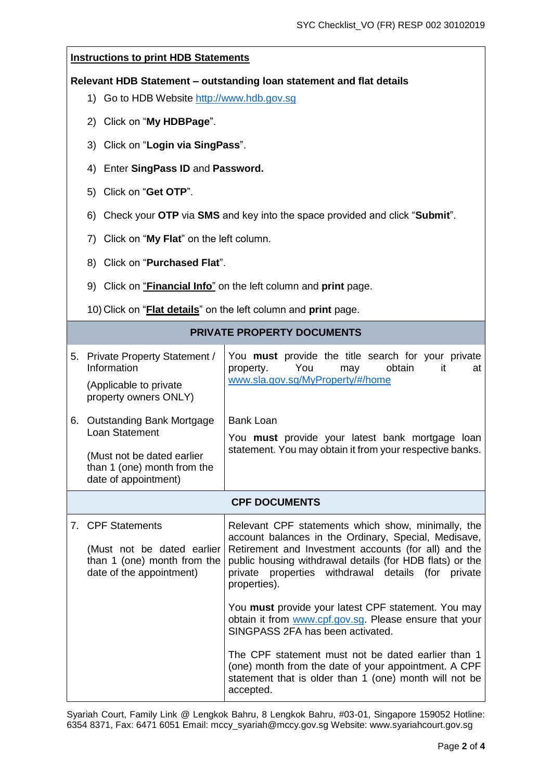## **Instructions to print HDB Statements**

#### **Relevant HDB Statement – outstanding loan statement and flat details**

- 1) Go to HDB Website [http://www.hdb.gov.sg](http://www.hdb.gov.sg/)
- 2) Click on "**My HDBPage**".
- 3) Click on "**Login via SingPass**".
- 4) Enter **SingPass ID** and **Password.**
- 5) Click on "**Get OTP**".
- 6) Check your **OTP** via **SMS** and key into the space provided and click "**Submit**".
- 7) Click on "**My Flat**" on the left column.
- 8) Click on "**Purchased Flat**".
- 9) Click on "**Financial Info**" on the left column and **print** page.

10) Click on "**Flat details**" on the left column and **print** page.

|                      | 5. Private Property Statement /<br>Information<br>(Applicable to private<br>property owners ONLY)                                | You must provide the title search for your private<br>obtain<br>You<br>property.<br>may<br>it<br>at<br>www.sla.gov.sg/MyProperty/#/home                                                                                                                                                                                                                                                                                                                                                                                                                                                                                                              |  |  |
|----------------------|----------------------------------------------------------------------------------------------------------------------------------|------------------------------------------------------------------------------------------------------------------------------------------------------------------------------------------------------------------------------------------------------------------------------------------------------------------------------------------------------------------------------------------------------------------------------------------------------------------------------------------------------------------------------------------------------------------------------------------------------------------------------------------------------|--|--|
| 6.                   | Outstanding Bank Mortgage<br>Loan Statement<br>(Must not be dated earlier<br>than 1 (one) month from the<br>date of appointment) | <b>Bank Loan</b><br>You must provide your latest bank mortgage loan<br>statement. You may obtain it from your respective banks.                                                                                                                                                                                                                                                                                                                                                                                                                                                                                                                      |  |  |
| <b>CPF DOCUMENTS</b> |                                                                                                                                  |                                                                                                                                                                                                                                                                                                                                                                                                                                                                                                                                                                                                                                                      |  |  |
|                      | 7. CPF Statements<br>(Must not be dated earlier<br>than 1 (one) month from the<br>date of the appointment)                       | Relevant CPF statements which show, minimally, the<br>account balances in the Ordinary, Special, Medisave,<br>Retirement and Investment accounts (for all) and the<br>public housing withdrawal details (for HDB flats) or the<br>private properties withdrawal details<br>(for<br>private<br>properties).<br>You must provide your latest CPF statement. You may<br>obtain it from www.cpf.gov.sg. Please ensure that your<br>SINGPASS 2FA has been activated.<br>The CPF statement must not be dated earlier than 1<br>(one) month from the date of your appointment. A CPF<br>statement that is older than 1 (one) month will not be<br>accepted. |  |  |

Syariah Court, Family Link @ Lengkok Bahru, 8 Lengkok Bahru, #03-01, Singapore 159052 Hotline: 6354 8371, Fax: 6471 6051 Email: [mccy\\_syariah@mccy.gov.sg](mailto:mccy_syariah@mccy.gov.sg) Website: www.syariahcourt.gov.sg

# **PRIVATE PROPERTY DOCUMENTS**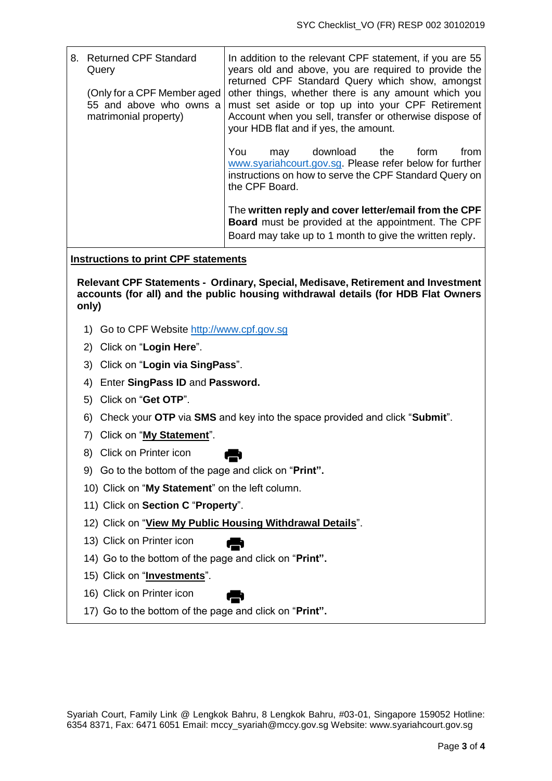| 8. | <b>Returned CPF Standard</b><br>Query                                           | In addition to the relevant CPF statement, if you are 55<br>years old and above, you are required to provide the<br>returned CPF Standard Query which show, amongst                                          |
|----|---------------------------------------------------------------------------------|--------------------------------------------------------------------------------------------------------------------------------------------------------------------------------------------------------------|
|    | (Only for a CPF Member aged<br>55 and above who owns a<br>matrimonial property) | other things, whether there is any amount which you<br>must set aside or top up into your CPF Retirement<br>Account when you sell, transfer or otherwise dispose of<br>your HDB flat and if yes, the amount. |
|    |                                                                                 | You<br>download<br>from<br>the<br>form<br>may<br>www.syariahcourt.gov.sg. Please refer below for further<br>instructions on how to serve the CPF Standard Query on<br>the CPF Board.                         |
|    |                                                                                 | The written reply and cover letter/email from the CPF<br><b>Board</b> must be provided at the appointment. The CPF<br>Board may take up to 1 month to give the written reply.                                |

## **Instructions to print CPF statements**

**Relevant CPF Statements - Ordinary, Special, Medisave, Retirement and Investment accounts (for all) and the public housing withdrawal details (for HDB Flat Owners only)**

- 1) Go to CPF Website [http://www.cpf.gov.sg](http://www.cpf.gov.sg/)
- 2) Click on "**Login Here**".
- 3) Click on "**Login via SingPass**".
- 4) Enter **SingPass ID** and **Password.**
- 5) Click on "**Get OTP**".
- 6) Check your **OTP** via **SMS** and key into the space provided and click "**Submit**".
- 7) Click on "**My Statement**".
- 8) Click on Printer icon
- 9) Go to the bottom of the page and click on "**Print".**
- 10) Click on "**My Statement**" on the left column.
- 11) Click on **Section C** "**Property**".
- 12) Click on "**View My Public Housing Withdrawal Details**".
- 13) Click on Printer icon
- 14) Go to the bottom of the page and click on "**Print".**
- 15) Click on "**Investments**".
- 16) Click on Printer icon
- 17) Go to the bottom of the page and click on "**Print".**